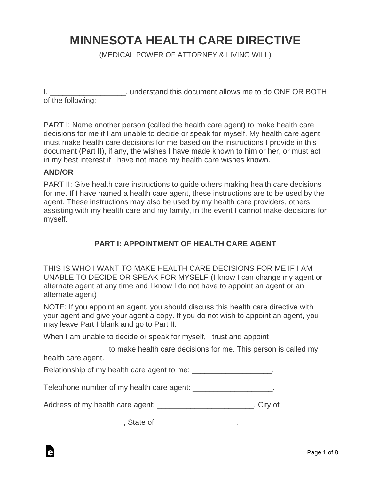# **MINNESOTA HEALTH CARE DIRECTIVE**

(MEDICAL POWER OF ATTORNEY & LIVING WILL)

I, \_\_\_\_\_\_\_\_\_\_\_\_\_\_\_\_\_\_, understand this document allows me to do ONE OR BOTH of the following:

PART I: Name another person (called the health care agent) to make health care decisions for me if I am unable to decide or speak for myself. My health care agent must make health care decisions for me based on the instructions I provide in this document (Part II), if any, the wishes I have made known to him or her, or must act in my best interest if I have not made my health care wishes known.

## **AND/OR**

Ġ

PART II: Give health care instructions to guide others making health care decisions for me. If I have named a health care agent, these instructions are to be used by the agent. These instructions may also be used by my health care providers, others assisting with my health care and my family, in the event I cannot make decisions for myself.

# **PART I: APPOINTMENT OF HEALTH CARE AGENT**

THIS IS WHO I WANT TO MAKE HEALTH CARE DECISIONS FOR ME IF I AM UNABLE TO DECIDE OR SPEAK FOR MYSELF (I know I can change my agent or alternate agent at any time and I know I do not have to appoint an agent or an alternate agent)

NOTE: If you appoint an agent, you should discuss this health care directive with your agent and give your agent a copy. If you do not wish to appoint an agent, you may leave Part I blank and go to Part II.

When I am unable to decide or speak for myself, I trust and appoint

\_\_\_\_\_\_\_\_\_\_\_\_\_\_\_ to make health care decisions for me. This person is called my health care agent.

Relationship of my health care agent to me:

Telephone number of my health care agent:  $\blacksquare$ 

| Address of my health care agent: | ., City of |
|----------------------------------|------------|
|----------------------------------|------------|

 $\blacksquare$ , State of  $\blacksquare$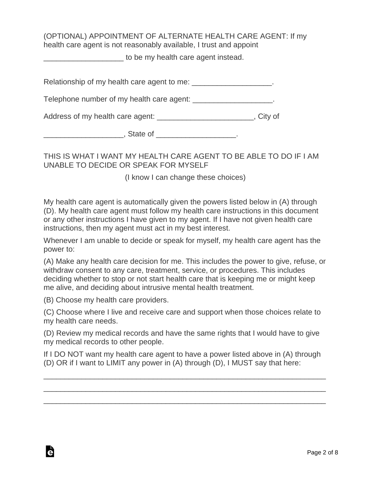(OPTIONAL) APPOINTMENT OF ALTERNATE HEALTH CARE AGENT: If my health care agent is not reasonably available, I trust and appoint

\_\_\_\_\_\_\_\_\_\_\_\_\_\_\_\_\_\_\_ to be my health care agent instead.

Relationship of my health care agent to me: \_\_\_\_\_\_\_\_\_\_\_\_\_\_\_\_\_\_\_\_\_.

Telephone number of my health care agent: \_\_\_\_\_\_\_\_\_\_\_\_\_\_\_\_\_\_\_.

Address of my health care agent: \_\_\_\_\_\_\_\_\_\_\_\_\_\_\_\_\_\_\_\_\_\_\_\_\_\_\_\_, City of

\_\_\_\_\_\_\_\_\_\_\_\_\_\_\_\_\_\_\_\_, State of \_\_\_\_\_\_\_\_\_\_\_\_\_\_\_\_\_\_\_\_\_\_\_\_\_.

THIS IS WHAT I WANT MY HEALTH CARE AGENT TO BE ABLE TO DO IF I AM UNABLE TO DECIDE OR SPEAK FOR MYSELF

(I know I can change these choices)

My health care agent is automatically given the powers listed below in (A) through (D). My health care agent must follow my health care instructions in this document or any other instructions I have given to my agent. If I have not given health care instructions, then my agent must act in my best interest.

Whenever I am unable to decide or speak for myself, my health care agent has the power to:

(A) Make any health care decision for me. This includes the power to give, refuse, or withdraw consent to any care, treatment, service, or procedures. This includes deciding whether to stop or not start health care that is keeping me or might keep me alive, and deciding about intrusive mental health treatment.

(B) Choose my health care providers.

Ġ

(C) Choose where I live and receive care and support when those choices relate to my health care needs.

(D) Review my medical records and have the same rights that I would have to give my medical records to other people.

If I DO NOT want my health care agent to have a power listed above in (A) through (D) OR if I want to LIMIT any power in (A) through (D), I MUST say that here:

\_\_\_\_\_\_\_\_\_\_\_\_\_\_\_\_\_\_\_\_\_\_\_\_\_\_\_\_\_\_\_\_\_\_\_\_\_\_\_\_\_\_\_\_\_\_\_\_\_\_\_\_\_\_\_\_\_\_\_\_\_\_\_\_\_\_\_

\_\_\_\_\_\_\_\_\_\_\_\_\_\_\_\_\_\_\_\_\_\_\_\_\_\_\_\_\_\_\_\_\_\_\_\_\_\_\_\_\_\_\_\_\_\_\_\_\_\_\_\_\_\_\_\_\_\_\_\_\_\_\_\_\_\_\_

\_\_\_\_\_\_\_\_\_\_\_\_\_\_\_\_\_\_\_\_\_\_\_\_\_\_\_\_\_\_\_\_\_\_\_\_\_\_\_\_\_\_\_\_\_\_\_\_\_\_\_\_\_\_\_\_\_\_\_\_\_\_\_\_\_\_\_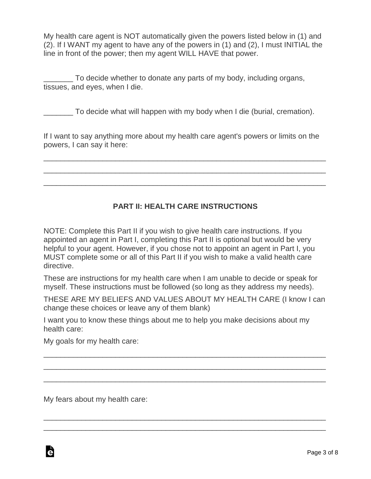My health care agent is NOT automatically given the powers listed below in (1) and (2). If I WANT my agent to have any of the powers in (1) and (2), I must INITIAL the line in front of the power; then my agent WILL HAVE that power.

To decide whether to donate any parts of my body, including organs, tissues, and eyes, when I die.

To decide what will happen with my body when I die (burial, cremation).

If I want to say anything more about my health care agent's powers or limits on the powers, I can say it here:

\_\_\_\_\_\_\_\_\_\_\_\_\_\_\_\_\_\_\_\_\_\_\_\_\_\_\_\_\_\_\_\_\_\_\_\_\_\_\_\_\_\_\_\_\_\_\_\_\_\_\_\_\_\_\_\_\_\_\_\_\_\_\_\_\_\_\_

\_\_\_\_\_\_\_\_\_\_\_\_\_\_\_\_\_\_\_\_\_\_\_\_\_\_\_\_\_\_\_\_\_\_\_\_\_\_\_\_\_\_\_\_\_\_\_\_\_\_\_\_\_\_\_\_\_\_\_\_\_\_\_\_\_\_\_

\_\_\_\_\_\_\_\_\_\_\_\_\_\_\_\_\_\_\_\_\_\_\_\_\_\_\_\_\_\_\_\_\_\_\_\_\_\_\_\_\_\_\_\_\_\_\_\_\_\_\_\_\_\_\_\_\_\_\_\_\_\_\_\_\_\_\_

# **PART II: HEALTH CARE INSTRUCTIONS**

NOTE: Complete this Part II if you wish to give health care instructions. If you appointed an agent in Part I, completing this Part II is optional but would be very helpful to your agent. However, if you chose not to appoint an agent in Part I, you MUST complete some or all of this Part II if you wish to make a valid health care directive.

These are instructions for my health care when I am unable to decide or speak for myself. These instructions must be followed (so long as they address my needs).

THESE ARE MY BELIEFS AND VALUES ABOUT MY HEALTH CARE (I know I can change these choices or leave any of them blank)

\_\_\_\_\_\_\_\_\_\_\_\_\_\_\_\_\_\_\_\_\_\_\_\_\_\_\_\_\_\_\_\_\_\_\_\_\_\_\_\_\_\_\_\_\_\_\_\_\_\_\_\_\_\_\_\_\_\_\_\_\_\_\_\_\_\_\_

\_\_\_\_\_\_\_\_\_\_\_\_\_\_\_\_\_\_\_\_\_\_\_\_\_\_\_\_\_\_\_\_\_\_\_\_\_\_\_\_\_\_\_\_\_\_\_\_\_\_\_\_\_\_\_\_\_\_\_\_\_\_\_\_\_\_\_

\_\_\_\_\_\_\_\_\_\_\_\_\_\_\_\_\_\_\_\_\_\_\_\_\_\_\_\_\_\_\_\_\_\_\_\_\_\_\_\_\_\_\_\_\_\_\_\_\_\_\_\_\_\_\_\_\_\_\_\_\_\_\_\_\_\_\_

\_\_\_\_\_\_\_\_\_\_\_\_\_\_\_\_\_\_\_\_\_\_\_\_\_\_\_\_\_\_\_\_\_\_\_\_\_\_\_\_\_\_\_\_\_\_\_\_\_\_\_\_\_\_\_\_\_\_\_\_\_\_\_\_\_\_\_ \_\_\_\_\_\_\_\_\_\_\_\_\_\_\_\_\_\_\_\_\_\_\_\_\_\_\_\_\_\_\_\_\_\_\_\_\_\_\_\_\_\_\_\_\_\_\_\_\_\_\_\_\_\_\_\_\_\_\_\_\_\_\_\_\_\_\_

I want you to know these things about me to help you make decisions about my health care:

My goals for my health care:

My fears about my health care:

Ġ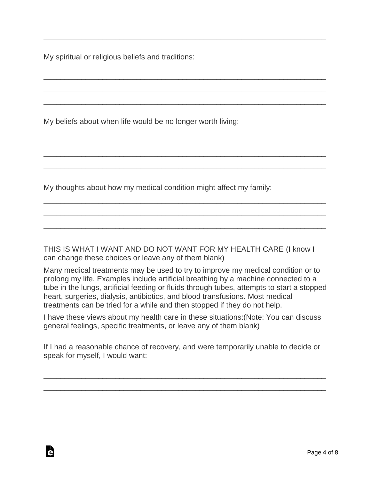My spiritual or religious beliefs and traditions:

My beliefs about when life would be no longer worth living:

My thoughts about how my medical condition might affect my family:

THIS IS WHAT I WANT AND DO NOT WANT FOR MY HEALTH CARE (I know I can change these choices or leave any of them blank)

\_\_\_\_\_\_\_\_\_\_\_\_\_\_\_\_\_\_\_\_\_\_\_\_\_\_\_\_\_\_\_\_\_\_\_\_\_\_\_\_\_\_\_\_\_\_\_\_\_\_\_\_\_\_\_\_\_\_\_\_\_\_\_\_\_\_\_

\_\_\_\_\_\_\_\_\_\_\_\_\_\_\_\_\_\_\_\_\_\_\_\_\_\_\_\_\_\_\_\_\_\_\_\_\_\_\_\_\_\_\_\_\_\_\_\_\_\_\_\_\_\_\_\_\_\_\_\_\_\_\_\_\_\_\_

\_\_\_\_\_\_\_\_\_\_\_\_\_\_\_\_\_\_\_\_\_\_\_\_\_\_\_\_\_\_\_\_\_\_\_\_\_\_\_\_\_\_\_\_\_\_\_\_\_\_\_\_\_\_\_\_\_\_\_\_\_\_\_\_\_\_\_

\_\_\_\_\_\_\_\_\_\_\_\_\_\_\_\_\_\_\_\_\_\_\_\_\_\_\_\_\_\_\_\_\_\_\_\_\_\_\_\_\_\_\_\_\_\_\_\_\_\_\_\_\_\_\_\_\_\_\_\_\_\_\_\_\_\_\_

\_\_\_\_\_\_\_\_\_\_\_\_\_\_\_\_\_\_\_\_\_\_\_\_\_\_\_\_\_\_\_\_\_\_\_\_\_\_\_\_\_\_\_\_\_\_\_\_\_\_\_\_\_\_\_\_\_\_\_\_\_\_\_\_\_\_\_

\_\_\_\_\_\_\_\_\_\_\_\_\_\_\_\_\_\_\_\_\_\_\_\_\_\_\_\_\_\_\_\_\_\_\_\_\_\_\_\_\_\_\_\_\_\_\_\_\_\_\_\_\_\_\_\_\_\_\_\_\_\_\_\_\_\_\_

\_\_\_\_\_\_\_\_\_\_\_\_\_\_\_\_\_\_\_\_\_\_\_\_\_\_\_\_\_\_\_\_\_\_\_\_\_\_\_\_\_\_\_\_\_\_\_\_\_\_\_\_\_\_\_\_\_\_\_\_\_\_\_\_\_\_\_

\_\_\_\_\_\_\_\_\_\_\_\_\_\_\_\_\_\_\_\_\_\_\_\_\_\_\_\_\_\_\_\_\_\_\_\_\_\_\_\_\_\_\_\_\_\_\_\_\_\_\_\_\_\_\_\_\_\_\_\_\_\_\_\_\_\_\_

\_\_\_\_\_\_\_\_\_\_\_\_\_\_\_\_\_\_\_\_\_\_\_\_\_\_\_\_\_\_\_\_\_\_\_\_\_\_\_\_\_\_\_\_\_\_\_\_\_\_\_\_\_\_\_\_\_\_\_\_\_\_\_\_\_\_\_

\_\_\_\_\_\_\_\_\_\_\_\_\_\_\_\_\_\_\_\_\_\_\_\_\_\_\_\_\_\_\_\_\_\_\_\_\_\_\_\_\_\_\_\_\_\_\_\_\_\_\_\_\_\_\_\_\_\_\_\_\_\_\_\_\_\_\_

Many medical treatments may be used to try to improve my medical condition or to prolong my life. Examples include artificial breathing by a machine connected to a tube in the lungs, artificial feeding or fluids through tubes, attempts to start a stopped heart, surgeries, dialysis, antibiotics, and blood transfusions. Most medical treatments can be tried for a while and then stopped if they do not help.

I have these views about my health care in these situations:(Note: You can discuss general feelings, specific treatments, or leave any of them blank)

If I had a reasonable chance of recovery, and were temporarily unable to decide or speak for myself, I would want:

\_\_\_\_\_\_\_\_\_\_\_\_\_\_\_\_\_\_\_\_\_\_\_\_\_\_\_\_\_\_\_\_\_\_\_\_\_\_\_\_\_\_\_\_\_\_\_\_\_\_\_\_\_\_\_\_\_\_\_\_\_\_\_\_\_\_\_

\_\_\_\_\_\_\_\_\_\_\_\_\_\_\_\_\_\_\_\_\_\_\_\_\_\_\_\_\_\_\_\_\_\_\_\_\_\_\_\_\_\_\_\_\_\_\_\_\_\_\_\_\_\_\_\_\_\_\_\_\_\_\_\_\_\_\_

\_\_\_\_\_\_\_\_\_\_\_\_\_\_\_\_\_\_\_\_\_\_\_\_\_\_\_\_\_\_\_\_\_\_\_\_\_\_\_\_\_\_\_\_\_\_\_\_\_\_\_\_\_\_\_\_\_\_\_\_\_\_\_\_\_\_\_

Ġ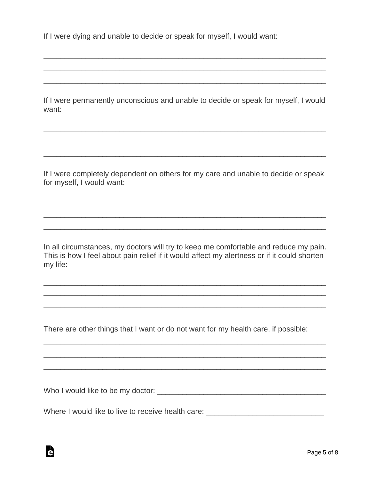If I were dying and unable to decide or speak for myself, I would want:

If I were permanently unconscious and unable to decide or speak for myself, I would want:

\_\_\_\_\_\_\_\_\_\_\_\_\_\_\_\_\_\_\_\_\_\_\_\_\_\_\_\_\_\_\_\_\_\_\_\_\_\_\_\_\_\_\_\_\_\_\_\_\_\_\_\_\_\_\_\_\_\_\_\_\_\_\_\_\_\_\_

\_\_\_\_\_\_\_\_\_\_\_\_\_\_\_\_\_\_\_\_\_\_\_\_\_\_\_\_\_\_\_\_\_\_\_\_\_\_\_\_\_\_\_\_\_\_\_\_\_\_\_\_\_\_\_\_\_\_\_\_\_\_\_\_\_\_\_

\_\_\_\_\_\_\_\_\_\_\_\_\_\_\_\_\_\_\_\_\_\_\_\_\_\_\_\_\_\_\_\_\_\_\_\_\_\_\_\_\_\_\_\_\_\_\_\_\_\_\_\_\_\_\_\_\_\_\_\_\_\_\_\_\_\_\_

\_\_\_\_\_\_\_\_\_\_\_\_\_\_\_\_\_\_\_\_\_\_\_\_\_\_\_\_\_\_\_\_\_\_\_\_\_\_\_\_\_\_\_\_\_\_\_\_\_\_\_\_\_\_\_\_\_\_\_\_\_\_\_\_\_\_\_

\_\_\_\_\_\_\_\_\_\_\_\_\_\_\_\_\_\_\_\_\_\_\_\_\_\_\_\_\_\_\_\_\_\_\_\_\_\_\_\_\_\_\_\_\_\_\_\_\_\_\_\_\_\_\_\_\_\_\_\_\_\_\_\_\_\_\_

\_\_\_\_\_\_\_\_\_\_\_\_\_\_\_\_\_\_\_\_\_\_\_\_\_\_\_\_\_\_\_\_\_\_\_\_\_\_\_\_\_\_\_\_\_\_\_\_\_\_\_\_\_\_\_\_\_\_\_\_\_\_\_\_\_\_\_

If I were completely dependent on others for my care and unable to decide or speak for myself, I would want:

\_\_\_\_\_\_\_\_\_\_\_\_\_\_\_\_\_\_\_\_\_\_\_\_\_\_\_\_\_\_\_\_\_\_\_\_\_\_\_\_\_\_\_\_\_\_\_\_\_\_\_\_\_\_\_\_\_\_\_\_\_\_\_\_\_\_\_

\_\_\_\_\_\_\_\_\_\_\_\_\_\_\_\_\_\_\_\_\_\_\_\_\_\_\_\_\_\_\_\_\_\_\_\_\_\_\_\_\_\_\_\_\_\_\_\_\_\_\_\_\_\_\_\_\_\_\_\_\_\_\_\_\_\_\_

\_\_\_\_\_\_\_\_\_\_\_\_\_\_\_\_\_\_\_\_\_\_\_\_\_\_\_\_\_\_\_\_\_\_\_\_\_\_\_\_\_\_\_\_\_\_\_\_\_\_\_\_\_\_\_\_\_\_\_\_\_\_\_\_\_\_\_

In all circumstances, my doctors will try to keep me comfortable and reduce my pain. This is how I feel about pain relief if it would affect my alertness or if it could shorten my life:

\_\_\_\_\_\_\_\_\_\_\_\_\_\_\_\_\_\_\_\_\_\_\_\_\_\_\_\_\_\_\_\_\_\_\_\_\_\_\_\_\_\_\_\_\_\_\_\_\_\_\_\_\_\_\_\_\_\_\_\_\_\_\_\_\_\_\_ \_\_\_\_\_\_\_\_\_\_\_\_\_\_\_\_\_\_\_\_\_\_\_\_\_\_\_\_\_\_\_\_\_\_\_\_\_\_\_\_\_\_\_\_\_\_\_\_\_\_\_\_\_\_\_\_\_\_\_\_\_\_\_\_\_\_\_

\_\_\_\_\_\_\_\_\_\_\_\_\_\_\_\_\_\_\_\_\_\_\_\_\_\_\_\_\_\_\_\_\_\_\_\_\_\_\_\_\_\_\_\_\_\_\_\_\_\_\_\_\_\_\_\_\_\_\_\_\_\_\_\_\_\_\_

\_\_\_\_\_\_\_\_\_\_\_\_\_\_\_\_\_\_\_\_\_\_\_\_\_\_\_\_\_\_\_\_\_\_\_\_\_\_\_\_\_\_\_\_\_\_\_\_\_\_\_\_\_\_\_\_\_\_\_\_\_\_\_\_\_\_\_

\_\_\_\_\_\_\_\_\_\_\_\_\_\_\_\_\_\_\_\_\_\_\_\_\_\_\_\_\_\_\_\_\_\_\_\_\_\_\_\_\_\_\_\_\_\_\_\_\_\_\_\_\_\_\_\_\_\_\_\_\_\_\_\_\_\_\_

\_\_\_\_\_\_\_\_\_\_\_\_\_\_\_\_\_\_\_\_\_\_\_\_\_\_\_\_\_\_\_\_\_\_\_\_\_\_\_\_\_\_\_\_\_\_\_\_\_\_\_\_\_\_\_\_\_\_\_\_\_\_\_\_\_\_\_

There are other things that I want or do not want for my health care, if possible:

Who I would like to be my doctor: \_\_\_\_\_\_\_\_\_\_\_\_\_\_\_\_\_\_\_\_\_\_\_\_\_\_\_\_\_\_\_\_\_\_\_\_\_\_\_\_

Where I would like to live to receive health care: \_\_\_\_\_\_\_\_\_\_\_\_\_\_\_\_\_\_\_\_\_\_\_\_\_\_\_\_\_

Ġ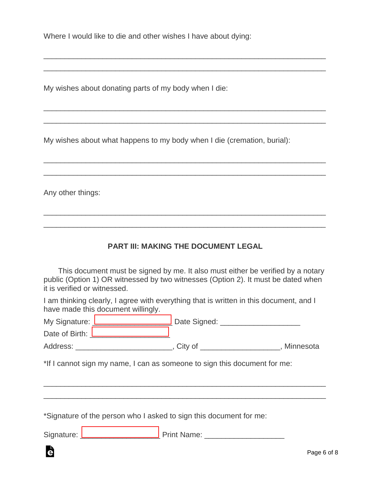Where I would like to die and other wishes I have about dying:

My wishes about donating parts of my body when I die:

My wishes about what happens to my body when I die (cremation, burial):

\_\_\_\_\_\_\_\_\_\_\_\_\_\_\_\_\_\_\_\_\_\_\_\_\_\_\_\_\_\_\_\_\_\_\_\_\_\_\_\_\_\_\_\_\_\_\_\_\_\_\_\_\_\_\_\_\_\_\_\_\_\_\_\_\_\_\_

\_\_\_\_\_\_\_\_\_\_\_\_\_\_\_\_\_\_\_\_\_\_\_\_\_\_\_\_\_\_\_\_\_\_\_\_\_\_\_\_\_\_\_\_\_\_\_\_\_\_\_\_\_\_\_\_\_\_\_\_\_\_\_\_\_\_\_

\_\_\_\_\_\_\_\_\_\_\_\_\_\_\_\_\_\_\_\_\_\_\_\_\_\_\_\_\_\_\_\_\_\_\_\_\_\_\_\_\_\_\_\_\_\_\_\_\_\_\_\_\_\_\_\_\_\_\_\_\_\_\_\_\_\_\_

\_\_\_\_\_\_\_\_\_\_\_\_\_\_\_\_\_\_\_\_\_\_\_\_\_\_\_\_\_\_\_\_\_\_\_\_\_\_\_\_\_\_\_\_\_\_\_\_\_\_\_\_\_\_\_\_\_\_\_\_\_\_\_\_\_\_\_

\_\_\_\_\_\_\_\_\_\_\_\_\_\_\_\_\_\_\_\_\_\_\_\_\_\_\_\_\_\_\_\_\_\_\_\_\_\_\_\_\_\_\_\_\_\_\_\_\_\_\_\_\_\_\_\_\_\_\_\_\_\_\_\_\_\_\_

\_\_\_\_\_\_\_\_\_\_\_\_\_\_\_\_\_\_\_\_\_\_\_\_\_\_\_\_\_\_\_\_\_\_\_\_\_\_\_\_\_\_\_\_\_\_\_\_\_\_\_\_\_\_\_\_\_\_\_\_\_\_\_\_\_\_\_

\_\_\_\_\_\_\_\_\_\_\_\_\_\_\_\_\_\_\_\_\_\_\_\_\_\_\_\_\_\_\_\_\_\_\_\_\_\_\_\_\_\_\_\_\_\_\_\_\_\_\_\_\_\_\_\_\_\_\_\_\_\_\_\_\_\_\_

\_\_\_\_\_\_\_\_\_\_\_\_\_\_\_\_\_\_\_\_\_\_\_\_\_\_\_\_\_\_\_\_\_\_\_\_\_\_\_\_\_\_\_\_\_\_\_\_\_\_\_\_\_\_\_\_\_\_\_\_\_\_\_\_\_\_\_

Any other things:

# **PART III: MAKING THE DOCUMENT LEGAL**

This document must be signed by me. It also must either be verified by a notary public (Option 1) OR witnessed by two witnesses (Option 2). It must be dated when it is verified or witnessed.

I am thinking clearly, I agree with everything that is written in this document, and I have made this document willingly.

My Signature: [\\_\\_\\_\\_\\_\\_\\_\\_\\_\\_\\_\\_\\_\\_\\_\\_\\_\\_\\_](www.esign.com)\_\_\_\_ Date Signed: \_\_\_\_\_\_\_\_\_\_\_\_\_\_\_\_\_\_\_\_\_\_\_\_\_\_\_\_\_

Date of Birth: [\\_\\_\\_\\_\\_\\_\\_\\_\\_\\_\\_\\_\\_\\_\\_\\_\\_\\_\\_](www.esign.com)

Address: \_\_\_\_\_\_\_\_\_\_\_\_\_\_\_\_\_\_\_\_\_\_\_\_\_\_\_\_, City of \_\_\_\_\_\_\_\_\_\_\_\_\_\_\_\_\_\_\_\_\_\_, Minnesota

\_\_\_\_\_\_\_\_\_\_\_\_\_\_\_\_\_\_\_\_\_\_\_\_\_\_\_\_\_\_\_\_\_\_\_\_\_\_\_\_\_\_\_\_\_\_\_\_\_\_\_\_\_\_\_\_\_\_\_\_\_\_\_\_\_\_\_

\_\_\_\_\_\_\_\_\_\_\_\_\_\_\_\_\_\_\_\_\_\_\_\_\_\_\_\_\_\_\_\_\_\_\_\_\_\_\_\_\_\_\_\_\_\_\_\_\_\_\_\_\_\_\_\_\_\_\_\_\_\_\_\_\_\_\_

\*If I cannot sign my name, I can as someone to sign this document for me:

\*Signature of the person who I asked to sign this document for me:

Signature: [\\_\\_\\_\\_\\_\\_\\_\\_\\_\\_\\_\\_\\_\\_\\_\\_\\_\\_\\_](www.esign.com) Print Name: \_\_\_\_\_\_\_\_\_\_\_\_\_\_\_\_\_\_\_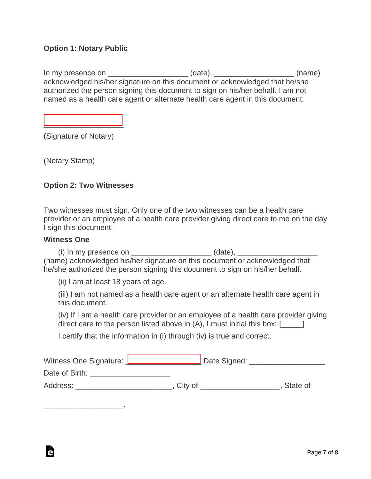## **Option 1: Notary Public**

In my presence on \_\_\_\_\_\_\_\_\_\_\_\_\_\_\_\_\_\_\_\_\_\_\_\_ (date), \_\_\_\_\_\_\_\_\_\_\_\_\_\_\_\_\_\_\_\_\_\_\_\_\_\_\_\_ (name) acknowledged his/her signature on this document or acknowledged that he/she authorized the person signing this document to sign on his/her behalf. I am not named as a health care agent or alternate health care agent in this document.

(Signature of Notary)

[\\_\\_\\_\\_\\_\\_\\_\\_\\_\\_\\_\\_\\_\\_\\_\\_\\_\\_\\_](www.esign.com)

(Notary Stamp)

## **Option 2: Two Witnesses**

Two witnesses must sign. Only one of the two witnesses can be a health care provider or an employee of a health care provider giving direct care to me on the day I sign this document.

#### **Witness One**

(i) In my presence on  $\frac{1}{2}$  (date),  $\frac{1}{2}$ (name) acknowledged his/her signature on this document or acknowledged that he/she authorized the person signing this document to sign on his/her behalf.

(ii) I am at least 18 years of age.

(iii) I am not named as a health care agent or an alternate health care agent in this document.

(iv) If I am a health care provider or an employee of a health care provider giving direct care to the person listed above in (A), I must initial this box: [\_\_\_\_]

I certify that the information in (i) through (iv) is true and correct.

| Witness One Signature: | Date Signed: |
|------------------------|--------------|
| Date of Birth:         |              |
| Address:<br>City of    | State of     |

\_\_\_\_\_\_\_\_\_\_\_\_\_\_\_\_\_\_\_.